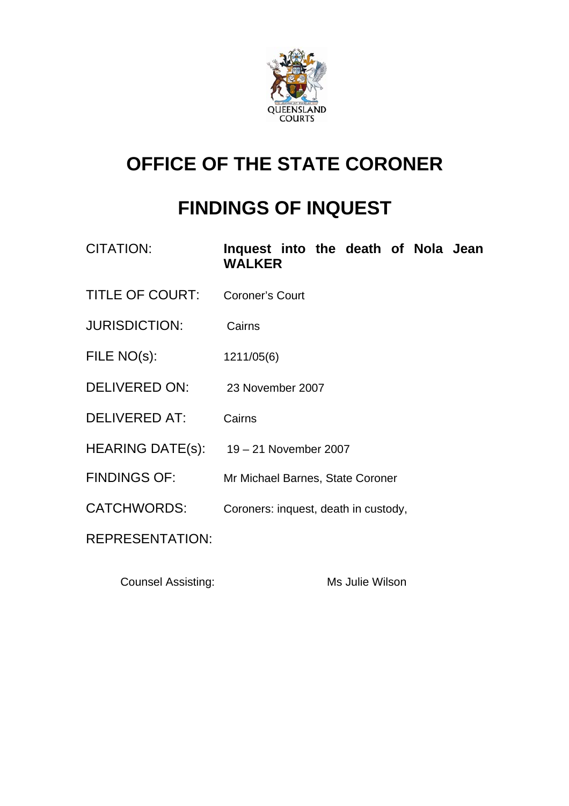

# **OFFICE OF THE STATE CORONER**

# **FINDINGS OF INQUEST**

| CITATION:               | Inquest into the death of Nola Jean<br><b>WALKER</b> |
|-------------------------|------------------------------------------------------|
| <b>TITLE OF COURT:</b>  | <b>Coroner's Court</b>                               |
| <b>JURISDICTION:</b>    | Cairns                                               |
| FILE NO(s):             | 1211/05(6)                                           |
| DELIVERED ON:           | 23 November 2007                                     |
| <b>DELIVERED AT:</b>    | Cairns                                               |
| <b>HEARING DATE(s):</b> | 19 – 21 November 2007                                |
| <b>FINDINGS OF:</b>     | Mr Michael Barnes, State Coroner                     |
| <b>CATCHWORDS:</b>      | Coroners: inquest, death in custody,                 |
| <b>REPRESENTATION:</b>  |                                                      |
|                         |                                                      |

Counsel Assisting: Ms Julie Wilson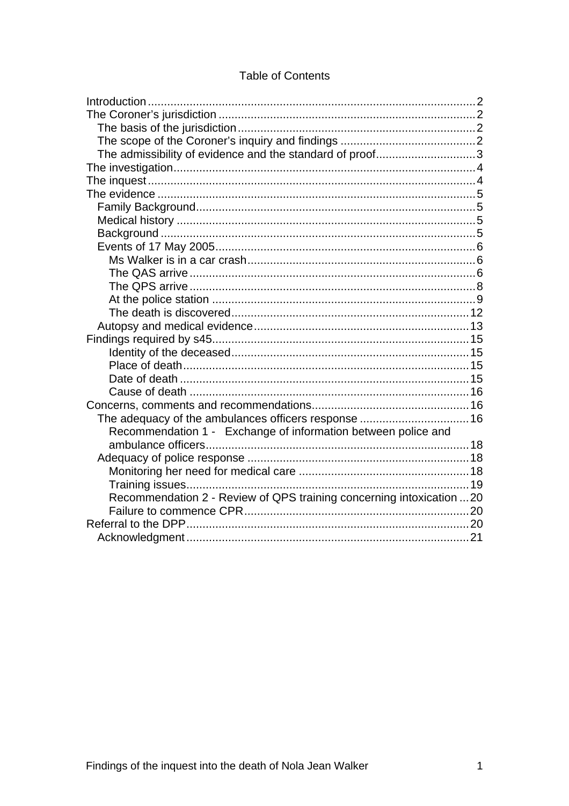# **Table of Contents**

| The admissibility of evidence and the standard of proof3              |  |
|-----------------------------------------------------------------------|--|
|                                                                       |  |
|                                                                       |  |
|                                                                       |  |
|                                                                       |  |
|                                                                       |  |
|                                                                       |  |
|                                                                       |  |
|                                                                       |  |
|                                                                       |  |
|                                                                       |  |
|                                                                       |  |
|                                                                       |  |
|                                                                       |  |
|                                                                       |  |
|                                                                       |  |
|                                                                       |  |
|                                                                       |  |
|                                                                       |  |
|                                                                       |  |
| The adequacy of the ambulances officers response  16                  |  |
| Recommendation 1 - Exchange of information between police and         |  |
|                                                                       |  |
|                                                                       |  |
|                                                                       |  |
|                                                                       |  |
| Recommendation 2 - Review of QPS training concerning intoxication  20 |  |
|                                                                       |  |
|                                                                       |  |
|                                                                       |  |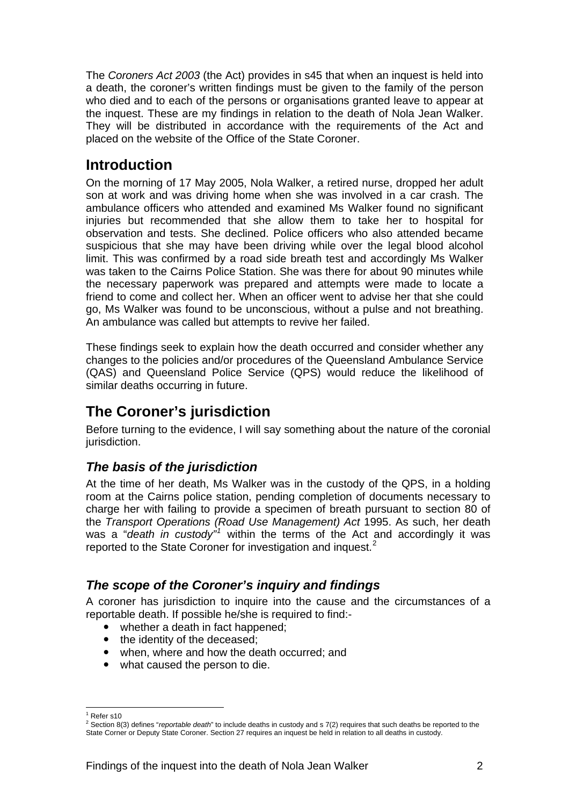<span id="page-2-0"></span>The *Coroners Act 2003* (the Act) provides in s45 that when an inquest is held into a death, the coroner's written findings must be given to the family of the person who died and to each of the persons or organisations granted leave to appear at the inquest. These are my findings in relation to the death of Nola Jean Walker. They will be distributed in accordance with the requirements of the Act and placed on the website of the Office of the State Coroner.

# **Introduction**

On the morning of 17 May 2005, Nola Walker, a retired nurse, dropped her adult son at work and was driving home when she was involved in a car crash. The ambulance officers who attended and examined Ms Walker found no significant injuries but recommended that she allow them to take her to hospital for observation and tests. She declined. Police officers who also attended became suspicious that she may have been driving while over the legal blood alcohol limit. This was confirmed by a road side breath test and accordingly Ms Walker was taken to the Cairns Police Station. She was there for about 90 minutes while the necessary paperwork was prepared and attempts were made to locate a friend to come and collect her. When an officer went to advise her that she could go, Ms Walker was found to be unconscious, without a pulse and not breathing. An ambulance was called but attempts to revive her failed.

These findings seek to explain how the death occurred and consider whether any changes to the policies and/or procedures of the Queensland Ambulance Service (QAS) and Queensland Police Service (QPS) would reduce the likelihood of similar deaths occurring in future.

# **The Coroner's jurisdiction**

Before turning to the evidence, I will say something about the nature of the coronial jurisdiction.

# *The basis of the jurisdiction*

At the time of her death, Ms Walker was in the custody of the QPS, in a holding room at the Cairns police station, pending completion of documents necessary to charge her with failing to provide a specimen of breath pursuant to section 80 of the *Transport Operations (Road Use Management) Act* 1995. As such, her death was a "*death in custody*"<sup>*[1](#page-2-1)*</sup> within the terms of the Act and accordingly it was reported to the State Coroner for investigation and inquest.<sup>[2](#page-2-2)</sup>

# *The scope of the Coroner's inquiry and findings*

A coroner has jurisdiction to inquire into the cause and the circumstances of a reportable death. If possible he/she is required to find:-

- whether a death in fact happened;
- $\bullet$  the identity of the deceased;
- when, where and how the death occurred; and
- what caused the person to die.

 $\overline{a}$ <sup>1</sup> Refer s10

<span id="page-2-2"></span><span id="page-2-1"></span><sup>2</sup> Section 8(3) defines "*reportable death*" to include deaths in custody and s 7(2) requires that such deaths be reported to the State Corner or Deputy State Coroner. Section 27 requires an inquest be held in relation to all deaths in custody.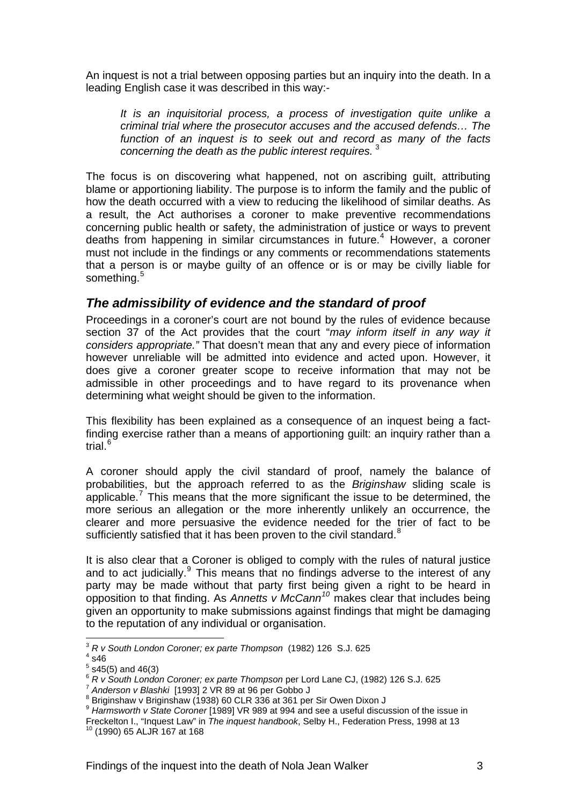<span id="page-3-0"></span>An inquest is not a trial between opposing parties but an inquiry into the death. In a leading English case it was described in this way:-

*It is an inquisitorial process, a process of investigation quite unlike a criminal trial where the prosecutor accuses and the accused defends… The function of an inquest is to seek out and record as many of the facts concerning the death as the public interest requires.* [3](#page-3-1)

The focus is on discovering what happened, not on ascribing guilt, attributing blame or apportioning liability. The purpose is to inform the family and the public of how the death occurred with a view to reducing the likelihood of similar deaths. As a result, the Act authorises a coroner to make preventive recommendations concerning public health or safety, the administration of justice or ways to prevent deaths from happening in similar circumstances in future.<sup>[4](#page-3-2)</sup> However, a coroner must not include in the findings or any comments or recommendations statements that a person is or maybe guilty of an offence or is or may be civilly liable for something.<sup>[5](#page-3-3)</sup>

### *The admissibility of evidence and the standard of proof*

Proceedings in a coroner's court are not bound by the rules of evidence because section 37 of the Act provides that the court "*may inform itself in any way it considers appropriate."* That doesn't mean that any and every piece of information however unreliable will be admitted into evidence and acted upon. However, it does give a coroner greater scope to receive information that may not be admissible in other proceedings and to have regard to its provenance when determining what weight should be given to the information.

This flexibility has been explained as a consequence of an inquest being a factfinding exercise rather than a means of apportioning guilt: an inquiry rather than a trial.<sup>[6](#page-3-4)</sup>

A coroner should apply the civil standard of proof, namely the balance of probabilities, but the approach referred to as the *Briginshaw* sliding scale is applicable.<sup>[7](#page-3-5)</sup> This means that the more significant the issue to be determined, the more serious an allegation or the more inherently unlikely an occurrence, the clearer and more persuasive the evidence needed for the trier of fact to be sufficiently satisfied that it has been proven to the civil standard. $8$ 

It is also clear that a Coroner is obliged to comply with the rules of natural justice and to act judicially. $9$  This means that no findings adverse to the interest of any party may be made without that party first being given a right to be heard in opposition to that finding. As *Annetts v McCann[10](#page-3-8)* makes clear that includes being given an opportunity to make submissions against findings that might be damaging to the reputation of any individual or organisation.

l

<sup>3</sup> *R v South London Coroner; ex parte Thompson* (1982) 126 S.J. 625 4

<span id="page-3-2"></span><span id="page-3-1"></span> $4$ s46

 $5$  s45(5) and 46(3)

<span id="page-3-4"></span><span id="page-3-3"></span><sup>&</sup>lt;sup>6</sup> *R v South London Coroner; ex parte Thompson* per Lord Lane CJ, (1982) 126 S.J. 625<br><sup>7</sup> Anderson v Blashki [1993] 2 VR 89 at 96 per Gobbo J

<span id="page-3-6"></span><span id="page-3-5"></span><sup>8</sup> Briginshaw v Briginshaw (1938) 60 CLR 336 at 361 per Sir Owen Dixon J

<span id="page-3-7"></span><sup>&</sup>lt;sup>9</sup> Harmsworth v State Coroner [1989] VR 989 at 994 and see a useful discussion of the issue in

<span id="page-3-8"></span>Freckelton I., "Inquest Law" in *The inquest handbook*, Selby H., Federation Press, 1998 at 13 <sup>10</sup> (1990) 65 ALJR 167 at 168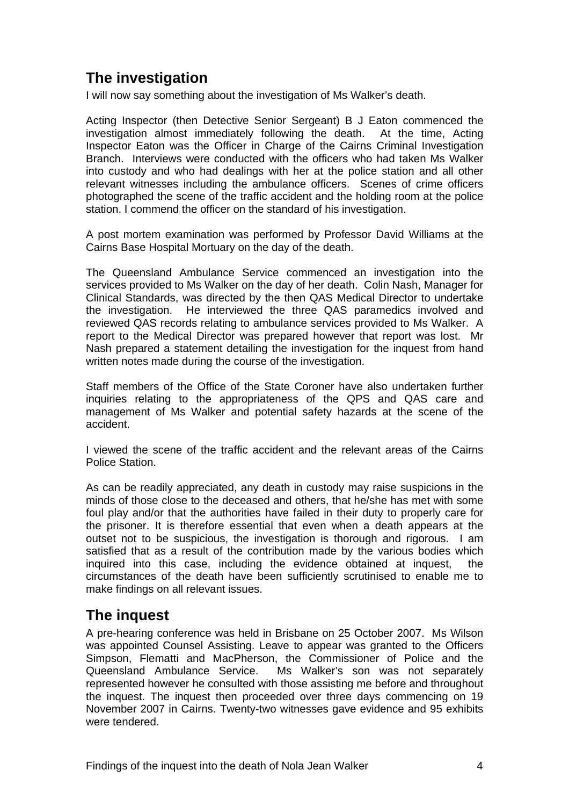# <span id="page-4-0"></span>**The investigation**

I will now say something about the investigation of Ms Walker's death.

Acting Inspector (then Detective Senior Sergeant) B J Eaton commenced the investigation almost immediately following the death. At the time, Acting Inspector Eaton was the Officer in Charge of the Cairns Criminal Investigation Branch. Interviews were conducted with the officers who had taken Ms Walker into custody and who had dealings with her at the police station and all other relevant witnesses including the ambulance officers. Scenes of crime officers photographed the scene of the traffic accident and the holding room at the police station. I commend the officer on the standard of his investigation.

A post mortem examination was performed by Professor David Williams at the Cairns Base Hospital Mortuary on the day of the death.

The Queensland Ambulance Service commenced an investigation into the services provided to Ms Walker on the day of her death. Colin Nash, Manager for Clinical Standards, was directed by the then QAS Medical Director to undertake the investigation. He interviewed the three QAS paramedics involved and reviewed QAS records relating to ambulance services provided to Ms Walker. A report to the Medical Director was prepared however that report was lost. Mr Nash prepared a statement detailing the investigation for the inquest from hand written notes made during the course of the investigation.

Staff members of the Office of the State Coroner have also undertaken further inquiries relating to the appropriateness of the QPS and QAS care and management of Ms Walker and potential safety hazards at the scene of the accident.

I viewed the scene of the traffic accident and the relevant areas of the Cairns Police Station.

As can be readily appreciated, any death in custody may raise suspicions in the minds of those close to the deceased and others, that he/she has met with some foul play and/or that the authorities have failed in their duty to properly care for the prisoner. It is therefore essential that even when a death appears at the outset not to be suspicious, the investigation is thorough and rigorous. I am satisfied that as a result of the contribution made by the various bodies which inquired into this case, including the evidence obtained at inquest, the circumstances of the death have been sufficiently scrutinised to enable me to make findings on all relevant issues.

# **The inquest**

A pre-hearing conference was held in Brisbane on 25 October 2007. Ms Wilson was appointed Counsel Assisting. Leave to appear was granted to the Officers Simpson, Flematti and MacPherson, the Commissioner of Police and the Queensland Ambulance Service. Ms Walker's son was not separately represented however he consulted with those assisting me before and throughout the inquest. The inquest then proceeded over three days commencing on 19 November 2007 in Cairns. Twenty-two witnesses gave evidence and 95 exhibits were tendered.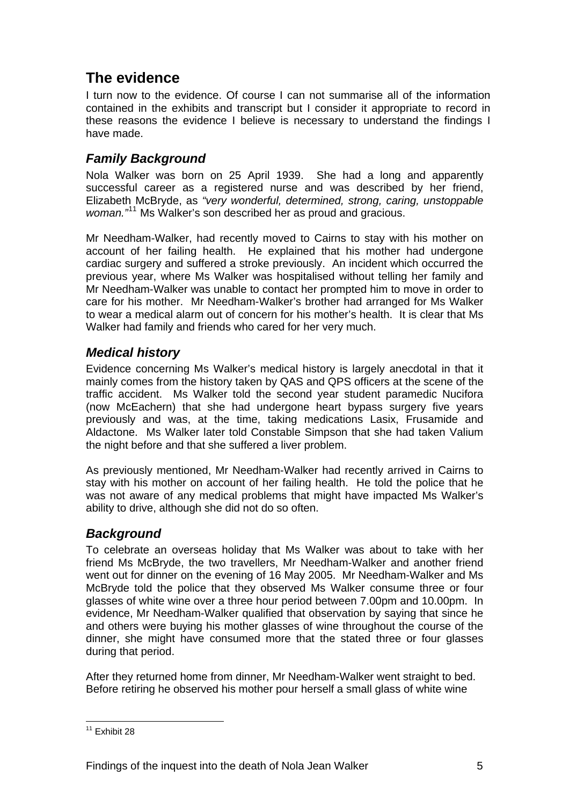# <span id="page-5-0"></span>**The evidence**

I turn now to the evidence. Of course I can not summarise all of the information contained in the exhibits and transcript but I consider it appropriate to record in these reasons the evidence I believe is necessary to understand the findings I have made.

# *Family Background*

Nola Walker was born on 25 April 1939. She had a long and apparently successful career as a registered nurse and was described by her friend, Elizabeth McBryde, as *"very wonderful, determined, strong, caring, unstoppable woman."*[11](#page-5-1) Ms Walker's son described her as proud and gracious.

Mr Needham-Walker, had recently moved to Cairns to stay with his mother on account of her failing health. He explained that his mother had undergone cardiac surgery and suffered a stroke previously. An incident which occurred the previous year, where Ms Walker was hospitalised without telling her family and Mr Needham-Walker was unable to contact her prompted him to move in order to care for his mother. Mr Needham-Walker's brother had arranged for Ms Walker to wear a medical alarm out of concern for his mother's health. It is clear that Ms Walker had family and friends who cared for her very much.

# *Medical history*

Evidence concerning Ms Walker's medical history is largely anecdotal in that it mainly comes from the history taken by QAS and QPS officers at the scene of the traffic accident. Ms Walker told the second year student paramedic Nucifora (now McEachern) that she had undergone heart bypass surgery five years previously and was, at the time, taking medications Lasix, Frusamide and Aldactone. Ms Walker later told Constable Simpson that she had taken Valium the night before and that she suffered a liver problem.

As previously mentioned, Mr Needham-Walker had recently arrived in Cairns to stay with his mother on account of her failing health. He told the police that he was not aware of any medical problems that might have impacted Ms Walker's ability to drive, although she did not do so often.

# *Background*

To celebrate an overseas holiday that Ms Walker was about to take with her friend Ms McBryde, the two travellers, Mr Needham-Walker and another friend went out for dinner on the evening of 16 May 2005. Mr Needham-Walker and Ms McBryde told the police that they observed Ms Walker consume three or four glasses of white wine over a three hour period between 7.00pm and 10.00pm. In evidence, Mr Needham-Walker qualified that observation by saying that since he and others were buying his mother glasses of wine throughout the course of the dinner, she might have consumed more that the stated three or four glasses during that period.

After they returned home from dinner, Mr Needham-Walker went straight to bed. Before retiring he observed his mother pour herself a small glass of white wine

<span id="page-5-1"></span>l  $11$  Exhibit 28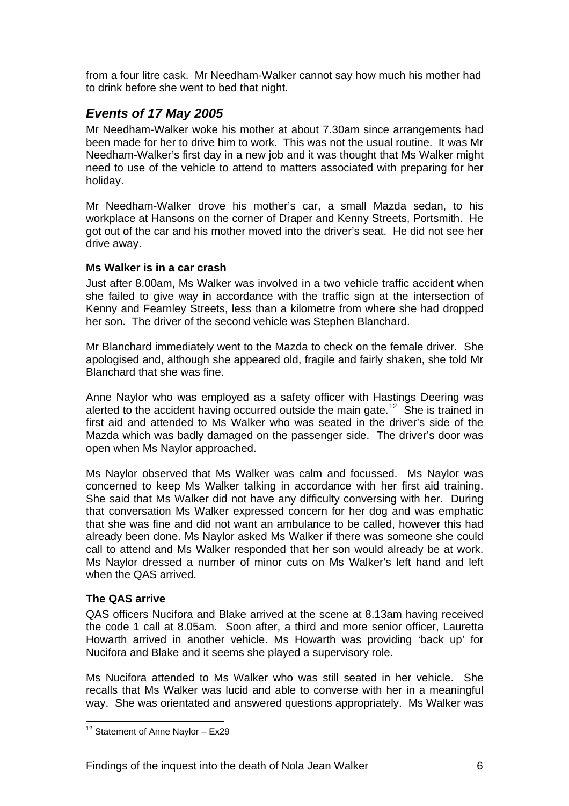<span id="page-6-0"></span>from a four litre cask. Mr Needham-Walker cannot say how much his mother had to drink before she went to bed that night.

### *Events of 17 May 2005*

Mr Needham-Walker woke his mother at about 7.30am since arrangements had been made for her to drive him to work. This was not the usual routine. It was Mr Needham-Walker's first day in a new job and it was thought that Ms Walker might need to use of the vehicle to attend to matters associated with preparing for her holiday.

Mr Needham-Walker drove his mother's car, a small Mazda sedan, to his workplace at Hansons on the corner of Draper and Kenny Streets, Portsmith. He got out of the car and his mother moved into the driver's seat. He did not see her drive away.

#### **Ms Walker is in a car crash**

Just after 8.00am, Ms Walker was involved in a two vehicle traffic accident when she failed to give way in accordance with the traffic sign at the intersection of Kenny and Fearnley Streets, less than a kilometre from where she had dropped her son. The driver of the second vehicle was Stephen Blanchard.

Mr Blanchard immediately went to the Mazda to check on the female driver. She apologised and, although she appeared old, fragile and fairly shaken, she told Mr Blanchard that she was fine.

Anne Naylor who was employed as a safety officer with Hastings Deering was alerted to the accident having occurred outside the main gate.<sup>[12](#page-6-1)</sup> She is trained in first aid and attended to Ms Walker who was seated in the driver's side of the Mazda which was badly damaged on the passenger side. The driver's door was open when Ms Naylor approached.

Ms Naylor observed that Ms Walker was calm and focussed. Ms Naylor was concerned to keep Ms Walker talking in accordance with her first aid training. She said that Ms Walker did not have any difficulty conversing with her. During that conversation Ms Walker expressed concern for her dog and was emphatic that she was fine and did not want an ambulance to be called, however this had already been done. Ms Naylor asked Ms Walker if there was someone she could call to attend and Ms Walker responded that her son would already be at work. Ms Naylor dressed a number of minor cuts on Ms Walker's left hand and left when the QAS arrived.

#### **The QAS arrive**

l

QAS officers Nucifora and Blake arrived at the scene at 8.13am having received the code 1 call at 8.05am. Soon after, a third and more senior officer, Lauretta Howarth arrived in another vehicle. Ms Howarth was providing 'back up' for Nucifora and Blake and it seems she played a supervisory role.

Ms Nucifora attended to Ms Walker who was still seated in her vehicle. She recalls that Ms Walker was lucid and able to converse with her in a meaningful way. She was orientated and answered questions appropriately. Ms Walker was

<span id="page-6-1"></span> $12$  Statement of Anne Naylor – Ex29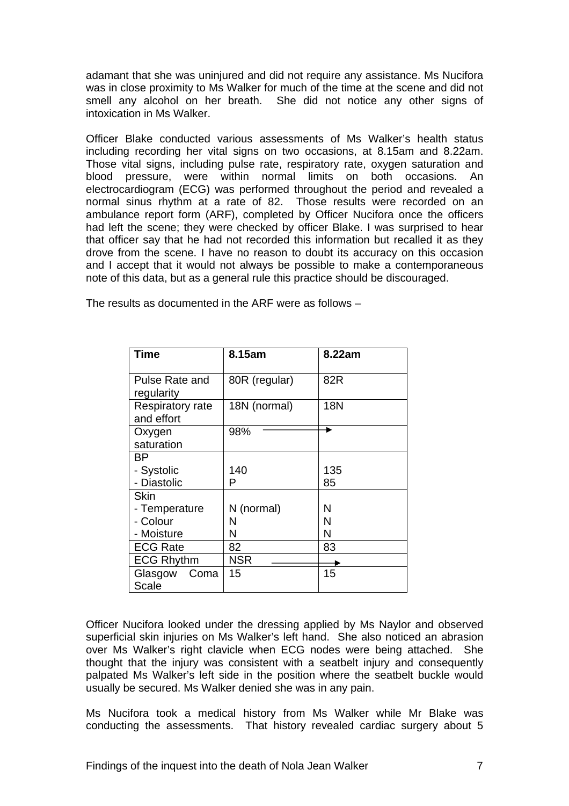adamant that she was uninjured and did not require any assistance. Ms Nucifora was in close proximity to Ms Walker for much of the time at the scene and did not smell any alcohol on her breath. She did not notice any other signs of intoxication in Ms Walker.

Officer Blake conducted various assessments of Ms Walker's health status including recording her vital signs on two occasions, at 8.15am and 8.22am. Those vital signs, including pulse rate, respiratory rate, oxygen saturation and blood pressure, were within normal limits on both occasions. An electrocardiogram (ECG) was performed throughout the period and revealed a normal sinus rhythm at a rate of 82. Those results were recorded on an ambulance report form (ARF), completed by Officer Nucifora once the officers had left the scene; they were checked by officer Blake. I was surprised to hear that officer say that he had not recorded this information but recalled it as they drove from the scene. I have no reason to doubt its accuracy on this occasion and I accept that it would not always be possible to make a contemporaneous note of this data, but as a general rule this practice should be discouraged.

| <b>Time</b>                     | 8.15am        | 8.22am |
|---------------------------------|---------------|--------|
| Pulse Rate and<br>regularity    | 80R (regular) | 82R    |
| Respiratory rate<br>and effort  | 18N (normal)  | 18N    |
| Oxygen<br>saturation            | 98%           |        |
| ΒP                              |               |        |
| - Systolic                      | 140           | 135    |
| - Diastolic                     | P             | 85     |
| <b>Skin</b>                     |               |        |
| - Temperature                   | N (normal)    | N      |
| - Colour                        | N             | N      |
| - Moisture                      | N             | N      |
| <b>ECG Rate</b>                 | 82            | 83     |
| <b>ECG Rhythm</b>               | NSR           |        |
| Glasgow<br>Coma<br><b>Scale</b> | 15            | 15     |

The results as documented in the ARF were as follows –

Officer Nucifora looked under the dressing applied by Ms Naylor and observed superficial skin injuries on Ms Walker's left hand. She also noticed an abrasion over Ms Walker's right clavicle when ECG nodes were being attached. She thought that the injury was consistent with a seatbelt injury and consequently palpated Ms Walker's left side in the position where the seatbelt buckle would usually be secured. Ms Walker denied she was in any pain.

Ms Nucifora took a medical history from Ms Walker while Mr Blake was conducting the assessments. That history revealed cardiac surgery about 5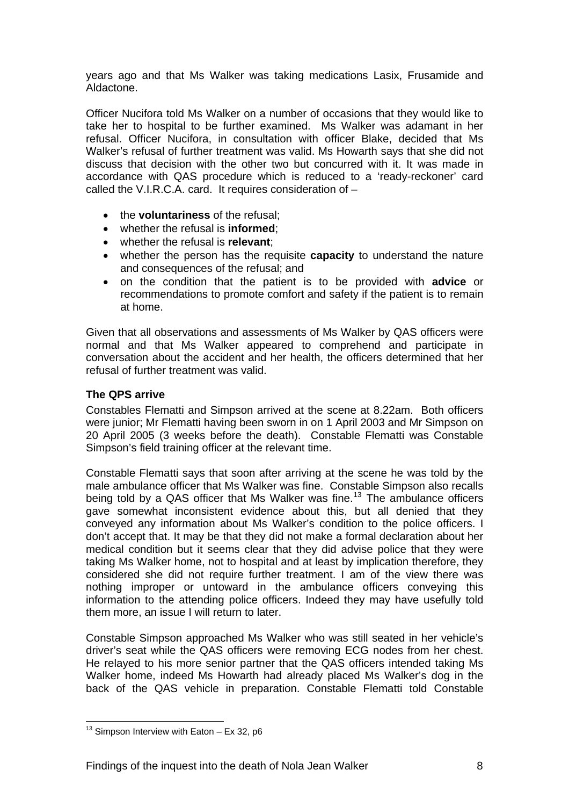<span id="page-8-0"></span>years ago and that Ms Walker was taking medications Lasix, Frusamide and Aldactone.

Officer Nucifora told Ms Walker on a number of occasions that they would like to take her to hospital to be further examined. Ms Walker was adamant in her refusal. Officer Nucifora, in consultation with officer Blake, decided that Ms Walker's refusal of further treatment was valid. Ms Howarth says that she did not discuss that decision with the other two but concurred with it. It was made in accordance with QAS procedure which is reduced to a 'ready-reckoner' card called the V.I.R.C.A. card. It requires consideration of –

- the **voluntariness** of the refusal;
- whether the refusal is **informed**;
- whether the refusal is **relevant**;
- whether the person has the requisite **capacity** to understand the nature and consequences of the refusal; and
- on the condition that the patient is to be provided with **advice** or recommendations to promote comfort and safety if the patient is to remain at home.

Given that all observations and assessments of Ms Walker by QAS officers were normal and that Ms Walker appeared to comprehend and participate in conversation about the accident and her health, the officers determined that her refusal of further treatment was valid.

#### **The QPS arrive**

Constables Flematti and Simpson arrived at the scene at 8.22am. Both officers were junior; Mr Flematti having been sworn in on 1 April 2003 and Mr Simpson on 20 April 2005 (3 weeks before the death). Constable Flematti was Constable Simpson's field training officer at the relevant time.

Constable Flematti says that soon after arriving at the scene he was told by the male ambulance officer that Ms Walker was fine. Constable Simpson also recalls being told by a QAS officer that Ms Walker was fine.<sup>[13](#page-8-1)</sup> The ambulance officers gave somewhat inconsistent evidence about this, but all denied that they conveyed any information about Ms Walker's condition to the police officers. I don't accept that. It may be that they did not make a formal declaration about her medical condition but it seems clear that they did advise police that they were taking Ms Walker home, not to hospital and at least by implication therefore, they considered she did not require further treatment. I am of the view there was nothing improper or untoward in the ambulance officers conveying this information to the attending police officers. Indeed they may have usefully told them more, an issue I will return to later.

Constable Simpson approached Ms Walker who was still seated in her vehicle's driver's seat while the QAS officers were removing ECG nodes from her chest. He relayed to his more senior partner that the QAS officers intended taking Ms Walker home, indeed Ms Howarth had already placed Ms Walker's dog in the back of the QAS vehicle in preparation. Constable Flematti told Constable

<span id="page-8-1"></span>l <sup>13</sup> Simpson Interview with Eaton  $-$  Ex 32, p6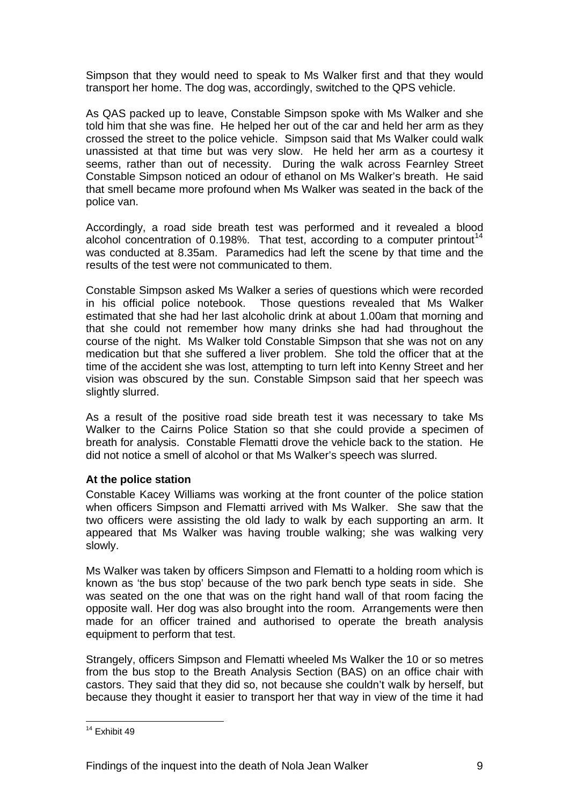<span id="page-9-0"></span>Simpson that they would need to speak to Ms Walker first and that they would transport her home. The dog was, accordingly, switched to the QPS vehicle.

As QAS packed up to leave, Constable Simpson spoke with Ms Walker and she told him that she was fine. He helped her out of the car and held her arm as they crossed the street to the police vehicle. Simpson said that Ms Walker could walk unassisted at that time but was very slow. He held her arm as a courtesy it seems, rather than out of necessity. During the walk across Fearnley Street Constable Simpson noticed an odour of ethanol on Ms Walker's breath. He said that smell became more profound when Ms Walker was seated in the back of the police van.

Accordingly, a road side breath test was performed and it revealed a blood alcohol concentration of 0.198%. That test, according to a computer printout<sup>[14](#page-9-1)</sup> was conducted at 8.35am. Paramedics had left the scene by that time and the results of the test were not communicated to them.

Constable Simpson asked Ms Walker a series of questions which were recorded in his official police notebook. Those questions revealed that Ms Walker estimated that she had her last alcoholic drink at about 1.00am that morning and that she could not remember how many drinks she had had throughout the course of the night. Ms Walker told Constable Simpson that she was not on any medication but that she suffered a liver problem. She told the officer that at the time of the accident she was lost, attempting to turn left into Kenny Street and her vision was obscured by the sun. Constable Simpson said that her speech was slightly slurred.

As a result of the positive road side breath test it was necessary to take Ms Walker to the Cairns Police Station so that she could provide a specimen of breath for analysis. Constable Flematti drove the vehicle back to the station. He did not notice a smell of alcohol or that Ms Walker's speech was slurred.

#### **At the police station**

Constable Kacey Williams was working at the front counter of the police station when officers Simpson and Flematti arrived with Ms Walker. She saw that the two officers were assisting the old lady to walk by each supporting an arm. It appeared that Ms Walker was having trouble walking; she was walking very slowly.

Ms Walker was taken by officers Simpson and Flematti to a holding room which is known as 'the bus stop' because of the two park bench type seats in side. She was seated on the one that was on the right hand wall of that room facing the opposite wall. Her dog was also brought into the room. Arrangements were then made for an officer trained and authorised to operate the breath analysis equipment to perform that test.

Strangely, officers Simpson and Flematti wheeled Ms Walker the 10 or so metres from the bus stop to the Breath Analysis Section (BAS) on an office chair with castors. They said that they did so, not because she couldn't walk by herself, but because they thought it easier to transport her that way in view of the time it had

<span id="page-9-1"></span>l <sup>14</sup> Exhibit 49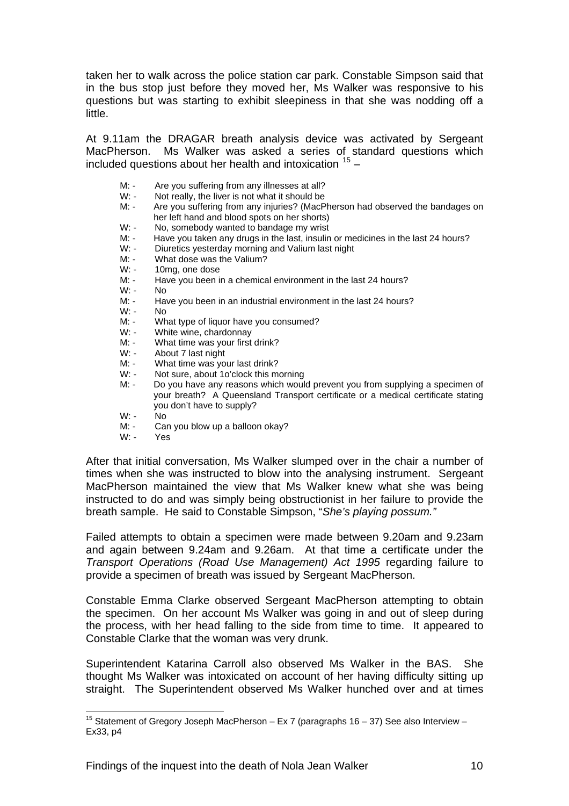taken her to walk across the police station car park. Constable Simpson said that in the bus stop just before they moved her, Ms Walker was responsive to his questions but was starting to exhibit sleepiness in that she was nodding off a little.

At 9.11am the DRAGAR breath analysis device was activated by Sergeant MacPherson. Ms Walker was asked a series of standard questions which included questions about her health and intoxication  $15 15 -$ 

- M: Are you suffering from any illnesses at all?
- W: Not really, the liver is not what it should be
- M: Are you suffering from any injuries? (MacPherson had observed the bandages on her left hand and blood spots on her shorts)
- W: No, somebody wanted to bandage my wrist<br>M: Have you taken any drugs in the last insulin
- M: Have you taken any drugs in the last, insulin or medicines in the last 24 hours?<br>W: Diuretics vesterday morning and Valium last night
- Diuretics yesterday morning and Valium last night
- M: What dose was the Valium?
- W: 10mg, one dose
- M: Have you been in a chemical environment in the last 24 hours?
- $W W$
- M: Have you been in an industrial environment in the last 24 hours?
- W: No
- M: What type of liquor have you consumed?<br>W: White wine, chardonnav
- White wine, chardonnay
- M: What time was your first drink?<br>W: About 7 last night
- W: About 7 last night<br>M: What time was vo
- M: What time was your last drink?<br>W: Not sure, about 1o'clock this me
- Not sure, about 1o'clock this morning
- M: Do you have any reasons which would prevent you from supplying a specimen of your breath? A Queensland Transport certificate or a medical certificate stating you don't have to supply?
- $W: -\wedge$  No
- M: Can you blow up a balloon okay?
- W: Yes

l

After that initial conversation, Ms Walker slumped over in the chair a number of times when she was instructed to blow into the analysing instrument. Sergeant MacPherson maintained the view that Ms Walker knew what she was being instructed to do and was simply being obstructionist in her failure to provide the breath sample. He said to Constable Simpson, "*She's playing possum."*

Failed attempts to obtain a specimen were made between 9.20am and 9.23am and again between 9.24am and 9.26am. At that time a certificate under the *Transport Operations (Road Use Management) Act 1995* regarding failure to provide a specimen of breath was issued by Sergeant MacPherson.

Constable Emma Clarke observed Sergeant MacPherson attempting to obtain the specimen. On her account Ms Walker was going in and out of sleep during the process, with her head falling to the side from time to time. It appeared to Constable Clarke that the woman was very drunk.

Superintendent Katarina Carroll also observed Ms Walker in the BAS. She thought Ms Walker was intoxicated on account of her having difficulty sitting up straight. The Superintendent observed Ms Walker hunched over and at times

<span id="page-10-0"></span><sup>&</sup>lt;sup>15</sup> Statement of Gregory Joseph MacPherson – Ex 7 (paragraphs 16 – 37) See also Interview – Ex33, p4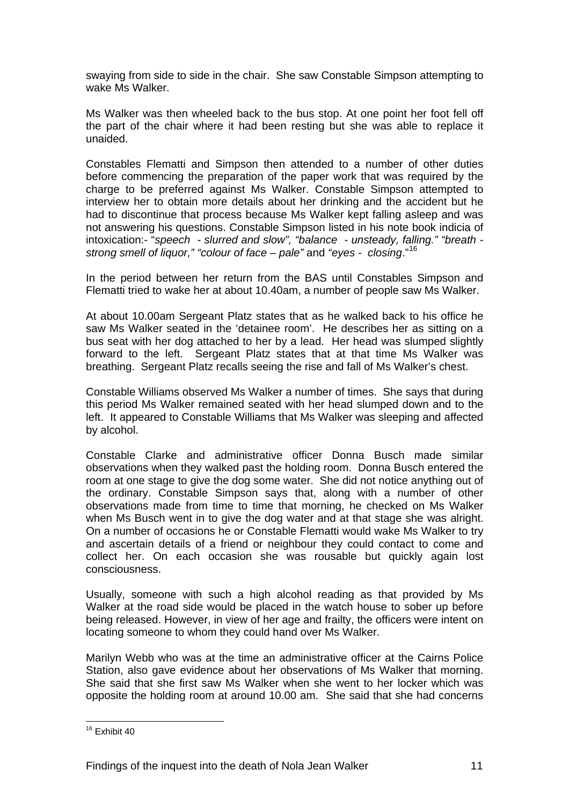swaying from side to side in the chair. She saw Constable Simpson attempting to wake Ms Walker.

Ms Walker was then wheeled back to the bus stop. At one point her foot fell off the part of the chair where it had been resting but she was able to replace it unaided.

Constables Flematti and Simpson then attended to a number of other duties before commencing the preparation of the paper work that was required by the charge to be preferred against Ms Walker. Constable Simpson attempted to interview her to obtain more details about her drinking and the accident but he had to discontinue that process because Ms Walker kept falling asleep and was not answering his questions. Constable Simpson listed in his note book indicia of intoxication:- "*speech - slurred and slow", "balance - unsteady, falling." "breath strong smell of liquor," "colour of face – pale"* and *"eyes - closing*."[16](#page-11-0)

In the period between her return from the BAS until Constables Simpson and Flematti tried to wake her at about 10.40am, a number of people saw Ms Walker.

At about 10.00am Sergeant Platz states that as he walked back to his office he saw Ms Walker seated in the 'detainee room'. He describes her as sitting on a bus seat with her dog attached to her by a lead. Her head was slumped slightly forward to the left. Sergeant Platz states that at that time Ms Walker was breathing. Sergeant Platz recalls seeing the rise and fall of Ms Walker's chest.

Constable Williams observed Ms Walker a number of times. She says that during this period Ms Walker remained seated with her head slumped down and to the left. It appeared to Constable Williams that Ms Walker was sleeping and affected by alcohol.

Constable Clarke and administrative officer Donna Busch made similar observations when they walked past the holding room. Donna Busch entered the room at one stage to give the dog some water. She did not notice anything out of the ordinary. Constable Simpson says that, along with a number of other observations made from time to time that morning, he checked on Ms Walker when Ms Busch went in to give the dog water and at that stage she was alright. On a number of occasions he or Constable Flematti would wake Ms Walker to try and ascertain details of a friend or neighbour they could contact to come and collect her. On each occasion she was rousable but quickly again lost consciousness.

Usually, someone with such a high alcohol reading as that provided by Ms Walker at the road side would be placed in the watch house to sober up before being released. However, in view of her age and frailty, the officers were intent on locating someone to whom they could hand over Ms Walker.

Marilyn Webb who was at the time an administrative officer at the Cairns Police Station, also gave evidence about her observations of Ms Walker that morning. She said that she first saw Ms Walker when she went to her locker which was opposite the holding room at around 10.00 am. She said that she had concerns

l

<span id="page-11-0"></span><sup>&</sup>lt;sup>16</sup> Exhibit 40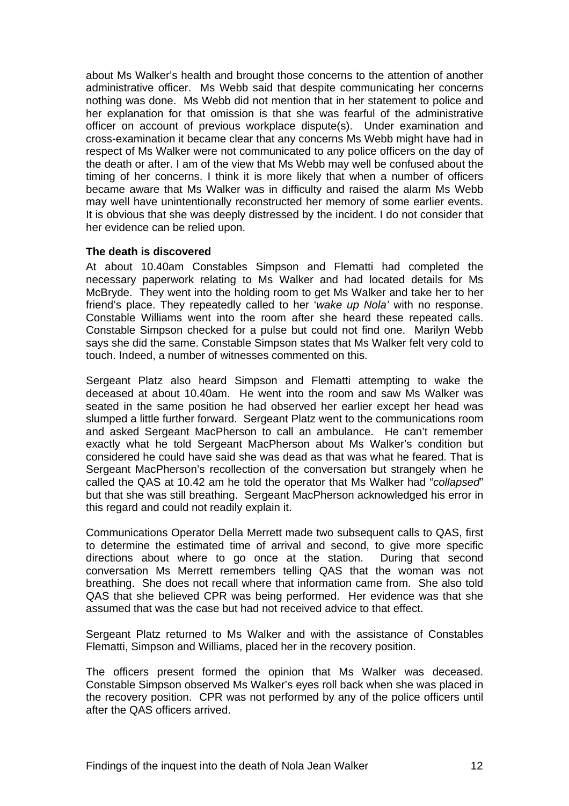<span id="page-12-0"></span>about Ms Walker's health and brought those concerns to the attention of another administrative officer. Ms Webb said that despite communicating her concerns nothing was done. Ms Webb did not mention that in her statement to police and her explanation for that omission is that she was fearful of the administrative officer on account of previous workplace dispute(s). Under examination and cross-examination it became clear that any concerns Ms Webb might have had in respect of Ms Walker were not communicated to any police officers on the day of the death or after. I am of the view that Ms Webb may well be confused about the timing of her concerns. I think it is more likely that when a number of officers became aware that Ms Walker was in difficulty and raised the alarm Ms Webb may well have unintentionally reconstructed her memory of some earlier events. It is obvious that she was deeply distressed by the incident. I do not consider that her evidence can be relied upon.

#### **The death is discovered**

At about 10.40am Constables Simpson and Flematti had completed the necessary paperwork relating to Ms Walker and had located details for Ms McBryde. They went into the holding room to get Ms Walker and take her to her friend's place. They repeatedly called to her '*wake up Nola'* with no response. Constable Williams went into the room after she heard these repeated calls. Constable Simpson checked for a pulse but could not find one. Marilyn Webb says she did the same. Constable Simpson states that Ms Walker felt very cold to touch. Indeed, a number of witnesses commented on this.

Sergeant Platz also heard Simpson and Flematti attempting to wake the deceased at about 10.40am. He went into the room and saw Ms Walker was seated in the same position he had observed her earlier except her head was slumped a little further forward. Sergeant Platz went to the communications room and asked Sergeant MacPherson to call an ambulance. He can't remember exactly what he told Sergeant MacPherson about Ms Walker's condition but considered he could have said she was dead as that was what he feared. That is Sergeant MacPherson's recollection of the conversation but strangely when he called the QAS at 10.42 am he told the operator that Ms Walker had "*collapsed*" but that she was still breathing. Sergeant MacPherson acknowledged his error in this regard and could not readily explain it.

Communications Operator Della Merrett made two subsequent calls to QAS, first to determine the estimated time of arrival and second, to give more specific directions about where to go once at the station. During that second conversation Ms Merrett remembers telling QAS that the woman was not breathing. She does not recall where that information came from. She also told QAS that she believed CPR was being performed. Her evidence was that she assumed that was the case but had not received advice to that effect.

Sergeant Platz returned to Ms Walker and with the assistance of Constables Flematti, Simpson and Williams, placed her in the recovery position.

The officers present formed the opinion that Ms Walker was deceased. Constable Simpson observed Ms Walker's eyes roll back when she was placed in the recovery position. CPR was not performed by any of the police officers until after the QAS officers arrived.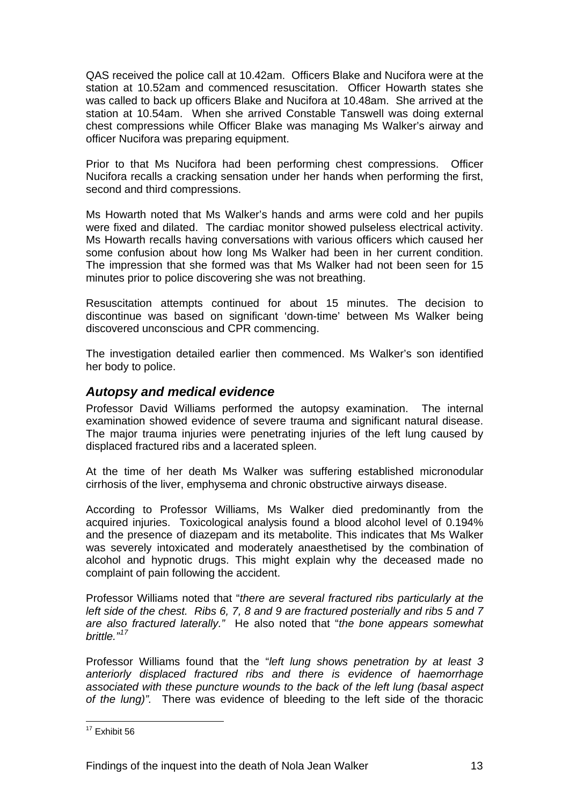<span id="page-13-0"></span>QAS received the police call at 10.42am. Officers Blake and Nucifora were at the station at 10.52am and commenced resuscitation. Officer Howarth states she was called to back up officers Blake and Nucifora at 10.48am. She arrived at the station at 10.54am. When she arrived Constable Tanswell was doing external chest compressions while Officer Blake was managing Ms Walker's airway and officer Nucifora was preparing equipment.

Prior to that Ms Nucifora had been performing chest compressions. Officer Nucifora recalls a cracking sensation under her hands when performing the first, second and third compressions.

Ms Howarth noted that Ms Walker's hands and arms were cold and her pupils were fixed and dilated. The cardiac monitor showed pulseless electrical activity. Ms Howarth recalls having conversations with various officers which caused her some confusion about how long Ms Walker had been in her current condition. The impression that she formed was that Ms Walker had not been seen for 15 minutes prior to police discovering she was not breathing.

Resuscitation attempts continued for about 15 minutes. The decision to discontinue was based on significant 'down-time' between Ms Walker being discovered unconscious and CPR commencing.

The investigation detailed earlier then commenced. Ms Walker's son identified her body to police.

### *Autopsy and medical evidence*

Professor David Williams performed the autopsy examination. The internal examination showed evidence of severe trauma and significant natural disease. The major trauma injuries were penetrating injuries of the left lung caused by displaced fractured ribs and a lacerated spleen.

At the time of her death Ms Walker was suffering established micronodular cirrhosis of the liver, emphysema and chronic obstructive airways disease.

According to Professor Williams, Ms Walker died predominantly from the acquired injuries. Toxicological analysis found a blood alcohol level of 0.194% and the presence of diazepam and its metabolite. This indicates that Ms Walker was severely intoxicated and moderately anaesthetised by the combination of alcohol and hypnotic drugs. This might explain why the deceased made no complaint of pain following the accident.

Professor Williams noted that "*there are several fractured ribs particularly at the left side of the chest. Ribs 6, 7, 8 and 9 are fractured posterially and ribs 5 and 7 are also fractured laterally."* He also noted that "*the bone appears somewhat brittle."[17](#page-13-1)*

Professor Williams found that the "*left lung shows penetration by at least 3 anteriorly displaced fractured ribs and there is evidence of haemorrhage associated with these puncture wounds to the back of the left lung (basal aspect of the lung)".* There was evidence of bleeding to the left side of the thoracic

<span id="page-13-1"></span>l  $17$  Exhibit 56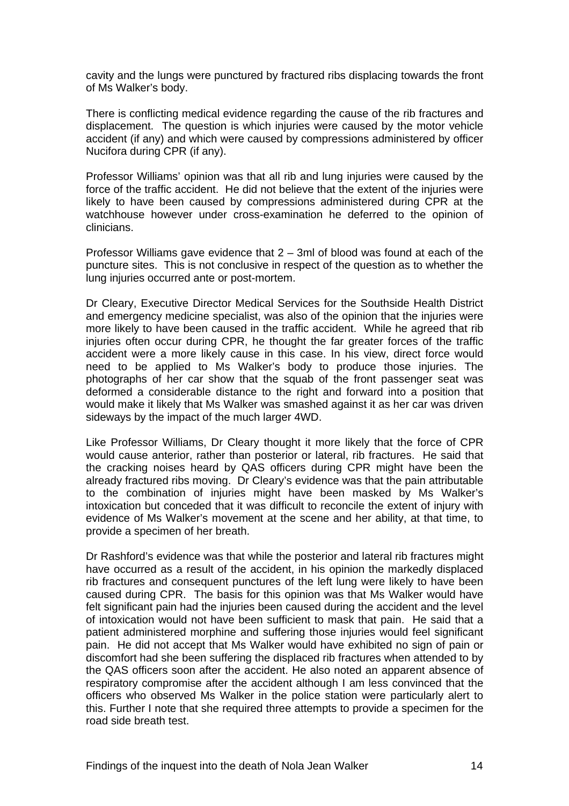cavity and the lungs were punctured by fractured ribs displacing towards the front of Ms Walker's body.

There is conflicting medical evidence regarding the cause of the rib fractures and displacement. The question is which injuries were caused by the motor vehicle accident (if any) and which were caused by compressions administered by officer Nucifora during CPR (if any).

Professor Williams' opinion was that all rib and lung injuries were caused by the force of the traffic accident. He did not believe that the extent of the injuries were likely to have been caused by compressions administered during CPR at the watchhouse however under cross-examination he deferred to the opinion of clinicians.

Professor Williams gave evidence that 2 – 3ml of blood was found at each of the puncture sites. This is not conclusive in respect of the question as to whether the lung injuries occurred ante or post-mortem.

Dr Cleary, Executive Director Medical Services for the Southside Health District and emergency medicine specialist, was also of the opinion that the injuries were more likely to have been caused in the traffic accident. While he agreed that rib injuries often occur during CPR, he thought the far greater forces of the traffic accident were a more likely cause in this case. In his view, direct force would need to be applied to Ms Walker's body to produce those injuries. The photographs of her car show that the squab of the front passenger seat was deformed a considerable distance to the right and forward into a position that would make it likely that Ms Walker was smashed against it as her car was driven sideways by the impact of the much larger 4WD.

Like Professor Williams, Dr Cleary thought it more likely that the force of CPR would cause anterior, rather than posterior or lateral, rib fractures. He said that the cracking noises heard by QAS officers during CPR might have been the already fractured ribs moving. Dr Cleary's evidence was that the pain attributable to the combination of injuries might have been masked by Ms Walker's intoxication but conceded that it was difficult to reconcile the extent of injury with evidence of Ms Walker's movement at the scene and her ability, at that time, to provide a specimen of her breath.

Dr Rashford's evidence was that while the posterior and lateral rib fractures might have occurred as a result of the accident, in his opinion the markedly displaced rib fractures and consequent punctures of the left lung were likely to have been caused during CPR. The basis for this opinion was that Ms Walker would have felt significant pain had the injuries been caused during the accident and the level of intoxication would not have been sufficient to mask that pain. He said that a patient administered morphine and suffering those injuries would feel significant pain. He did not accept that Ms Walker would have exhibited no sign of pain or discomfort had she been suffering the displaced rib fractures when attended to by the QAS officers soon after the accident. He also noted an apparent absence of respiratory compromise after the accident although I am less convinced that the officers who observed Ms Walker in the police station were particularly alert to this. Further I note that she required three attempts to provide a specimen for the road side breath test.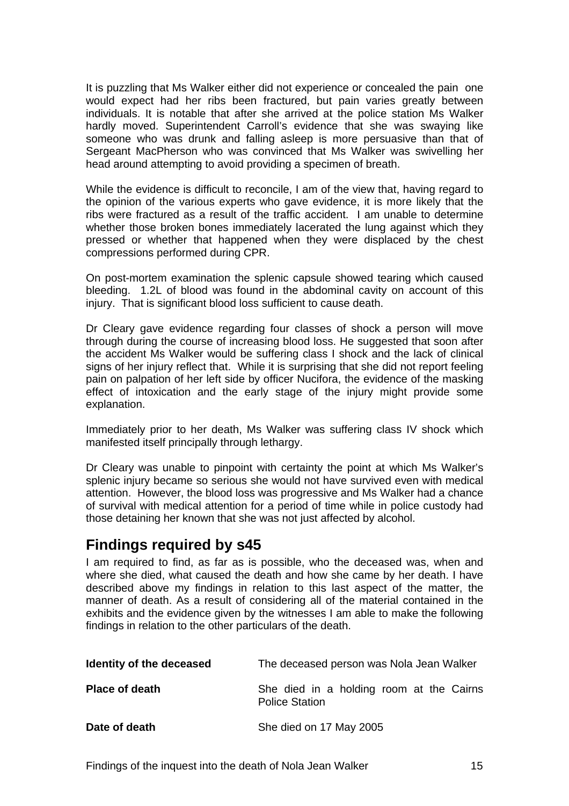<span id="page-15-0"></span>It is puzzling that Ms Walker either did not experience or concealed the pain one would expect had her ribs been fractured, but pain varies greatly between individuals. It is notable that after she arrived at the police station Ms Walker hardly moved. Superintendent Carroll's evidence that she was swaying like someone who was drunk and falling asleep is more persuasive than that of Sergeant MacPherson who was convinced that Ms Walker was swivelling her head around attempting to avoid providing a specimen of breath.

While the evidence is difficult to reconcile, I am of the view that, having regard to the opinion of the various experts who gave evidence, it is more likely that the ribs were fractured as a result of the traffic accident. I am unable to determine whether those broken bones immediately lacerated the lung against which they pressed or whether that happened when they were displaced by the chest compressions performed during CPR.

On post-mortem examination the splenic capsule showed tearing which caused bleeding. 1.2L of blood was found in the abdominal cavity on account of this injury. That is significant blood loss sufficient to cause death.

Dr Cleary gave evidence regarding four classes of shock a person will move through during the course of increasing blood loss. He suggested that soon after the accident Ms Walker would be suffering class I shock and the lack of clinical signs of her injury reflect that. While it is surprising that she did not report feeling pain on palpation of her left side by officer Nucifora, the evidence of the masking effect of intoxication and the early stage of the injury might provide some explanation.

Immediately prior to her death, Ms Walker was suffering class IV shock which manifested itself principally through lethargy.

Dr Cleary was unable to pinpoint with certainty the point at which Ms Walker's splenic injury became so serious she would not have survived even with medical attention. However, the blood loss was progressive and Ms Walker had a chance of survival with medical attention for a period of time while in police custody had those detaining her known that she was not just affected by alcohol.

# **Findings required by s45**

I am required to find, as far as is possible, who the deceased was, when and where she died, what caused the death and how she came by her death. I have described above my findings in relation to this last aspect of the matter, the manner of death. As a result of considering all of the material contained in the exhibits and the evidence given by the witnesses I am able to make the following findings in relation to the other particulars of the death.

| Identity of the deceased | The deceased person was Nola Jean Walker                          |  |
|--------------------------|-------------------------------------------------------------------|--|
| <b>Place of death</b>    | She died in a holding room at the Cairns<br><b>Police Station</b> |  |
| Date of death            | She died on 17 May 2005                                           |  |

Findings of the inquest into the death of Nola Jean Walker 15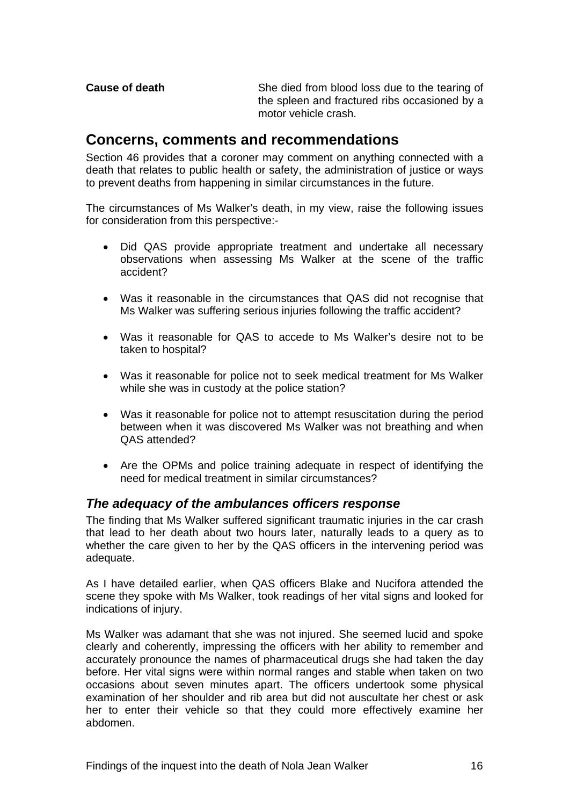<span id="page-16-0"></span>**Cause of death** She died from blood loss due to the tearing of the spleen and fractured ribs occasioned by a motor vehicle crash.

# **Concerns, comments and recommendations**

Section 46 provides that a coroner may comment on anything connected with a death that relates to public health or safety, the administration of justice or ways to prevent deaths from happening in similar circumstances in the future.

The circumstances of Ms Walker's death, in my view, raise the following issues for consideration from this perspective:-

- Did QAS provide appropriate treatment and undertake all necessary observations when assessing Ms Walker at the scene of the traffic accident?
- Was it reasonable in the circumstances that QAS did not recognise that Ms Walker was suffering serious injuries following the traffic accident?
- Was it reasonable for QAS to accede to Ms Walker's desire not to be taken to hospital?
- Was it reasonable for police not to seek medical treatment for Ms Walker while she was in custody at the police station?
- Was it reasonable for police not to attempt resuscitation during the period between when it was discovered Ms Walker was not breathing and when QAS attended?
- Are the OPMs and police training adequate in respect of identifying the need for medical treatment in similar circumstances?

### *The adequacy of the ambulances officers response*

The finding that Ms Walker suffered significant traumatic injuries in the car crash that lead to her death about two hours later, naturally leads to a query as to whether the care given to her by the QAS officers in the intervening period was adequate.

As I have detailed earlier, when QAS officers Blake and Nucifora attended the scene they spoke with Ms Walker, took readings of her vital signs and looked for indications of injury.

Ms Walker was adamant that she was not injured. She seemed lucid and spoke clearly and coherently, impressing the officers with her ability to remember and accurately pronounce the names of pharmaceutical drugs she had taken the day before. Her vital signs were within normal ranges and stable when taken on two occasions about seven minutes apart. The officers undertook some physical examination of her shoulder and rib area but did not auscultate her chest or ask her to enter their vehicle so that they could more effectively examine her abdomen.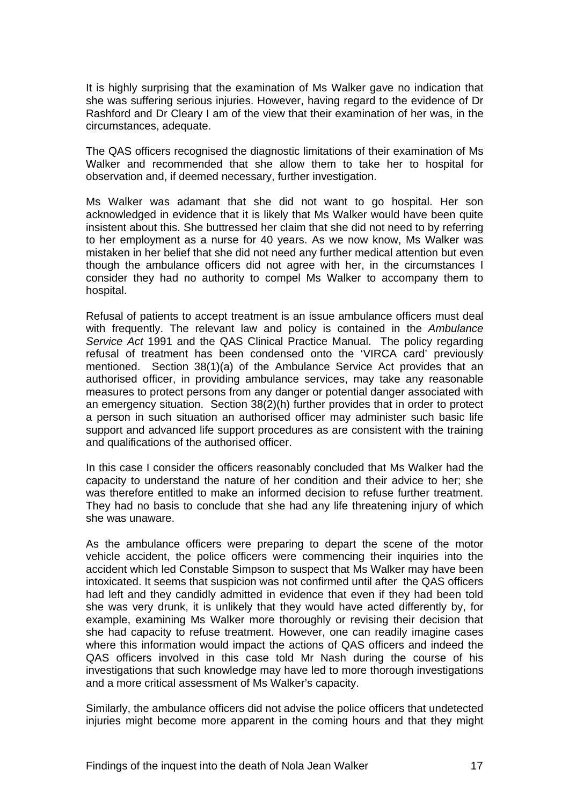It is highly surprising that the examination of Ms Walker gave no indication that she was suffering serious injuries. However, having regard to the evidence of Dr Rashford and Dr Cleary I am of the view that their examination of her was, in the circumstances, adequate.

The QAS officers recognised the diagnostic limitations of their examination of Ms Walker and recommended that she allow them to take her to hospital for observation and, if deemed necessary, further investigation.

Ms Walker was adamant that she did not want to go hospital. Her son acknowledged in evidence that it is likely that Ms Walker would have been quite insistent about this. She buttressed her claim that she did not need to by referring to her employment as a nurse for 40 years. As we now know, Ms Walker was mistaken in her belief that she did not need any further medical attention but even though the ambulance officers did not agree with her, in the circumstances I consider they had no authority to compel Ms Walker to accompany them to hospital.

Refusal of patients to accept treatment is an issue ambulance officers must deal with frequently. The relevant law and policy is contained in the *Ambulance Service Act* 1991 and the QAS Clinical Practice Manual. The policy regarding refusal of treatment has been condensed onto the 'VIRCA card' previously mentioned. Section 38(1)(a) of the Ambulance Service Act provides that an authorised officer, in providing ambulance services, may take any reasonable measures to protect persons from any danger or potential danger associated with an emergency situation. Section 38(2)(h) further provides that in order to protect a person in such situation an authorised officer may administer such basic life support and advanced life support procedures as are consistent with the training and qualifications of the authorised officer.

In this case I consider the officers reasonably concluded that Ms Walker had the capacity to understand the nature of her condition and their advice to her; she was therefore entitled to make an informed decision to refuse further treatment. They had no basis to conclude that she had any life threatening injury of which she was unaware.

As the ambulance officers were preparing to depart the scene of the motor vehicle accident, the police officers were commencing their inquiries into the accident which led Constable Simpson to suspect that Ms Walker may have been intoxicated. It seems that suspicion was not confirmed until after the QAS officers had left and they candidly admitted in evidence that even if they had been told she was very drunk, it is unlikely that they would have acted differently by, for example, examining Ms Walker more thoroughly or revising their decision that she had capacity to refuse treatment. However, one can readily imagine cases where this information would impact the actions of QAS officers and indeed the QAS officers involved in this case told Mr Nash during the course of his investigations that such knowledge may have led to more thorough investigations and a more critical assessment of Ms Walker's capacity.

Similarly, the ambulance officers did not advise the police officers that undetected injuries might become more apparent in the coming hours and that they might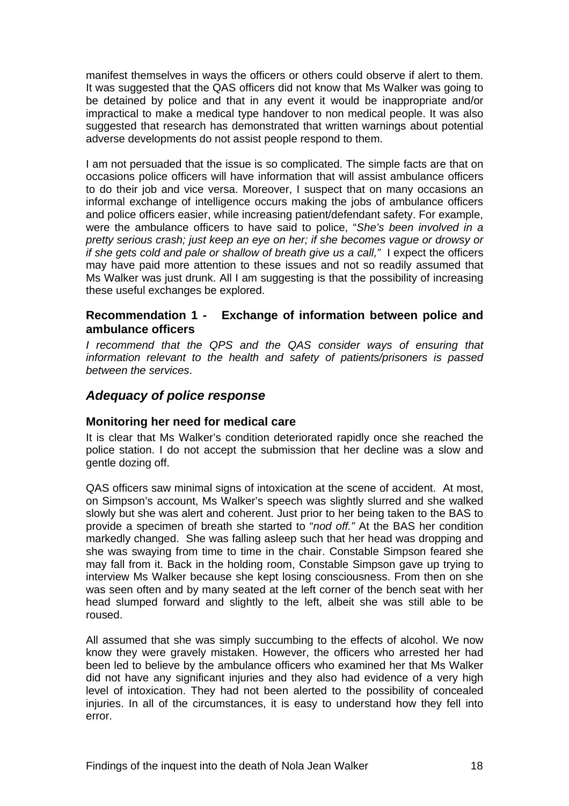<span id="page-18-0"></span>manifest themselves in ways the officers or others could observe if alert to them. It was suggested that the QAS officers did not know that Ms Walker was going to be detained by police and that in any event it would be inappropriate and/or impractical to make a medical type handover to non medical people. It was also suggested that research has demonstrated that written warnings about potential adverse developments do not assist people respond to them.

I am not persuaded that the issue is so complicated. The simple facts are that on occasions police officers will have information that will assist ambulance officers to do their job and vice versa. Moreover, I suspect that on many occasions an informal exchange of intelligence occurs making the jobs of ambulance officers and police officers easier, while increasing patient/defendant safety. For example, were the ambulance officers to have said to police, "*She's been involved in a pretty serious crash; just keep an eye on her; if she becomes vague or drowsy or if she gets cold and pale or shallow of breath give us a call,"* I expect the officers may have paid more attention to these issues and not so readily assumed that Ms Walker was just drunk. All I am suggesting is that the possibility of increasing these useful exchanges be explored.

#### **Recommendation 1 - Exchange of information between police and ambulance officers**

*I* recommend that the QPS and the QAS consider ways of ensuring that *information relevant to the health and safety of patients/prisoners is passed between the services*.

### *Adequacy of police response*

#### **Monitoring her need for medical care**

It is clear that Ms Walker's condition deteriorated rapidly once she reached the police station. I do not accept the submission that her decline was a slow and gentle dozing off.

QAS officers saw minimal signs of intoxication at the scene of accident. At most, on Simpson's account, Ms Walker's speech was slightly slurred and she walked slowly but she was alert and coherent. Just prior to her being taken to the BAS to provide a specimen of breath she started to "*nod off."* At the BAS her condition markedly changed. She was falling asleep such that her head was dropping and she was swaying from time to time in the chair. Constable Simpson feared she may fall from it. Back in the holding room, Constable Simpson gave up trying to interview Ms Walker because she kept losing consciousness. From then on she was seen often and by many seated at the left corner of the bench seat with her head slumped forward and slightly to the left, albeit she was still able to be roused.

All assumed that she was simply succumbing to the effects of alcohol. We now know they were gravely mistaken. However, the officers who arrested her had been led to believe by the ambulance officers who examined her that Ms Walker did not have any significant injuries and they also had evidence of a very high level of intoxication. They had not been alerted to the possibility of concealed injuries. In all of the circumstances, it is easy to understand how they fell into error.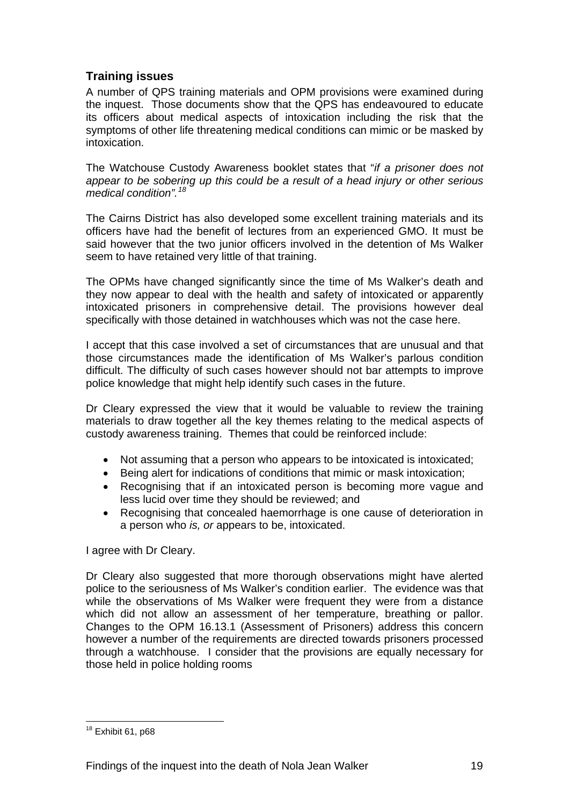# <span id="page-19-0"></span>**Training issues**

A number of QPS training materials and OPM provisions were examined during the inquest. Those documents show that the QPS has endeavoured to educate its officers about medical aspects of intoxication including the risk that the symptoms of other life threatening medical conditions can mimic or be masked by intoxication.

The Watchouse Custody Awareness booklet states that "*if a prisoner does not appear to be sobering up this could be a result of a head injury or other serious medical condition".[18](#page-19-1)*

The Cairns District has also developed some excellent training materials and its officers have had the benefit of lectures from an experienced GMO. It must be said however that the two junior officers involved in the detention of Ms Walker seem to have retained very little of that training.

The OPMs have changed significantly since the time of Ms Walker's death and they now appear to deal with the health and safety of intoxicated or apparently intoxicated prisoners in comprehensive detail. The provisions however deal specifically with those detained in watchhouses which was not the case here.

I accept that this case involved a set of circumstances that are unusual and that those circumstances made the identification of Ms Walker's parlous condition difficult. The difficulty of such cases however should not bar attempts to improve police knowledge that might help identify such cases in the future.

Dr Cleary expressed the view that it would be valuable to review the training materials to draw together all the key themes relating to the medical aspects of custody awareness training. Themes that could be reinforced include:

- Not assuming that a person who appears to be intoxicated is intoxicated;
- Being alert for indications of conditions that mimic or mask intoxication;
- Recognising that if an intoxicated person is becoming more vague and less lucid over time they should be reviewed; and
- Recognising that concealed haemorrhage is one cause of deterioration in a person who *is, or* appears to be, intoxicated.

I agree with Dr Cleary.

Dr Cleary also suggested that more thorough observations might have alerted police to the seriousness of Ms Walker's condition earlier. The evidence was that while the observations of Ms Walker were frequent they were from a distance which did not allow an assessment of her temperature, breathing or pallor. Changes to the OPM 16.13.1 (Assessment of Prisoners) address this concern however a number of the requirements are directed towards prisoners processed through a watchhouse. I consider that the provisions are equally necessary for those held in police holding rooms

<span id="page-19-1"></span>l  $18$  Exhibit 61, p68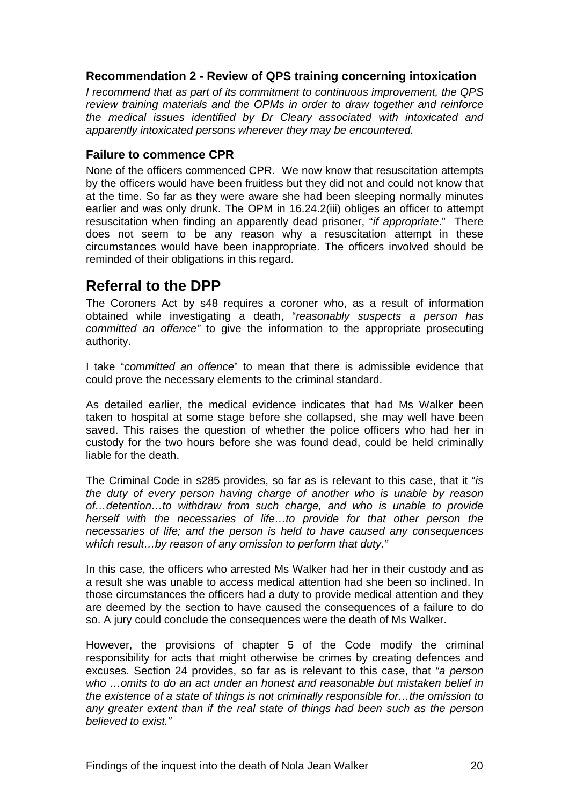#### <span id="page-20-0"></span>**Recommendation 2 - Review of QPS training concerning intoxication**

*I recommend that as part of its commitment to continuous improvement, the QPS review training materials and the OPMs in order to draw together and reinforce the medical issues identified by Dr Cleary associated with intoxicated and apparently intoxicated persons wherever they may be encountered.* 

#### **Failure to commence CPR**

None of the officers commenced CPR. We now know that resuscitation attempts by the officers would have been fruitless but they did not and could not know that at the time. So far as they were aware she had been sleeping normally minutes earlier and was only drunk. The OPM in 16.24.2(iii) obliges an officer to attempt resuscitation when finding an apparently dead prisoner, "*if appropriate*." There does not seem to be any reason why a resuscitation attempt in these circumstances would have been inappropriate. The officers involved should be reminded of their obligations in this regard.

# **Referral to the DPP**

The Coroners Act by s48 requires a coroner who, as a result of information obtained while investigating a death, "*reasonably suspects a person has committed an offence"* to give the information to the appropriate prosecuting authority.

I take "*committed an offence*" to mean that there is admissible evidence that could prove the necessary elements to the criminal standard.

As detailed earlier, the medical evidence indicates that had Ms Walker been taken to hospital at some stage before she collapsed, she may well have been saved. This raises the question of whether the police officers who had her in custody for the two hours before she was found dead, could be held criminally liable for the death.

The Criminal Code in s285 provides, so far as is relevant to this case, that it "*is the duty of every person having charge of another who is unable by reason of…detention…to withdraw from such charge, and who is unable to provide herself with the necessaries of life...to provide for that other person the necessaries of life; and the person is held to have caused any consequences which result…by reason of any omission to perform that duty."* 

In this case, the officers who arrested Ms Walker had her in their custody and as a result she was unable to access medical attention had she been so inclined. In those circumstances the officers had a duty to provide medical attention and they are deemed by the section to have caused the consequences of a failure to do so. A jury could conclude the consequences were the death of Ms Walker.

However, the provisions of chapter 5 of the Code modify the criminal responsibility for acts that might otherwise be crimes by creating defences and excuses. Section 24 provides, so far as is relevant to this case, that *"a person who …omits to do an act under an honest and reasonable but mistaken belief in the existence of a state of things is not criminally responsible for…the omission to any greater extent than if the real state of things had been such as the person believed to exist."*